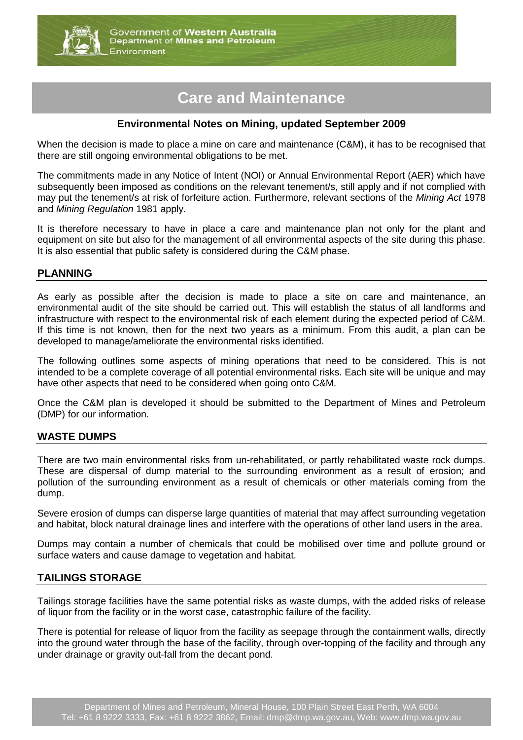

# **Care and Maintenance**

## **Environmental Notes on Mining, updated September 2009**

When the decision is made to place a mine on care and maintenance (C&M), it has to be recognised that there are still ongoing environmental obligations to be met.

The commitments made in any Notice of Intent (NOI) or Annual Environmental Report (AER) which have subsequently been imposed as conditions on the relevant tenement/s, still apply and if not complied with may put the tenement/s at risk of forfeiture action. Furthermore, relevant sections of the *Mining Act* 1978 and *Mining Regulation* 1981 apply.

It is therefore necessary to have in place a care and maintenance plan not only for the plant and equipment on site but also for the management of all environmental aspects of the site during this phase. It is also essential that public safety is considered during the C&M phase.

#### **PLANNING**

As early as possible after the decision is made to place a site on care and maintenance, an environmental audit of the site should be carried out. This will establish the status of all landforms and infrastructure with respect to the environmental risk of each element during the expected period of C&M. If this time is not known, then for the next two years as a minimum. From this audit, a plan can be developed to manage/ameliorate the environmental risks identified.

The following outlines some aspects of mining operations that need to be considered. This is not intended to be a complete coverage of all potential environmental risks. Each site will be unique and may have other aspects that need to be considered when going onto C&M.

Once the C&M plan is developed it should be submitted to the Department of Mines and Petroleum (DMP) for our information.

## **WASTE DUMPS**

There are two main environmental risks from un-rehabilitated, or partly rehabilitated waste rock dumps. These are dispersal of dump material to the surrounding environment as a result of erosion; and pollution of the surrounding environment as a result of chemicals or other materials coming from the dump.

Severe erosion of dumps can disperse large quantities of material that may affect surrounding vegetation and habitat, block natural drainage lines and interfere with the operations of other land users in the area.

Dumps may contain a number of chemicals that could be mobilised over time and pollute ground or surface waters and cause damage to vegetation and habitat.

#### **TAILINGS STORAGE**

Tailings storage facilities have the same potential risks as waste dumps, with the added risks of release of liquor from the facility or in the worst case, catastrophic failure of the facility.

There is potential for release of liquor from the facility as seepage through the containment walls, directly into the ground water through the base of the facility, through over-topping of the facility and through any under drainage or gravity out-fall from the decant pond.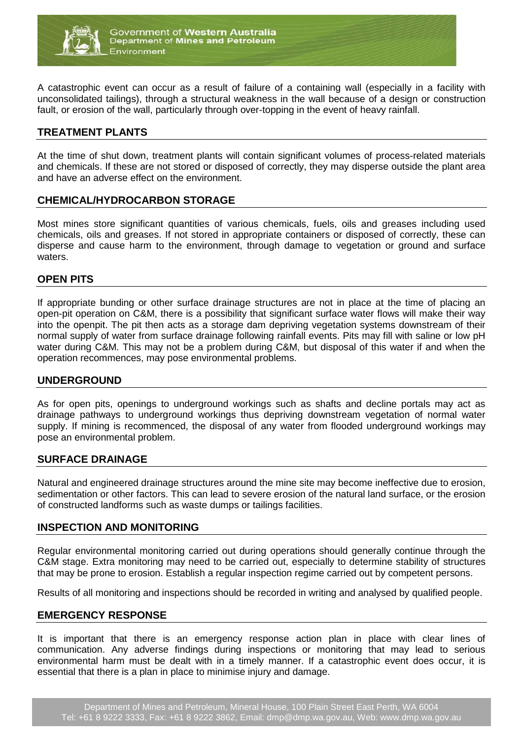

A catastrophic event can occur as a result of failure of a containing wall (especially in a facility with unconsolidated tailings), through a structural weakness in the wall because of a design or construction fault, or erosion of the wall, particularly through over-topping in the event of heavy rainfall.

## **TREATMENT PLANTS**

At the time of shut down, treatment plants will contain significant volumes of process-related materials and chemicals. If these are not stored or disposed of correctly, they may disperse outside the plant area and have an adverse effect on the environment.

#### **CHEMICAL/HYDROCARBON STORAGE**

Most mines store significant quantities of various chemicals, fuels, oils and greases including used chemicals, oils and greases. If not stored in appropriate containers or disposed of correctly, these can disperse and cause harm to the environment, through damage to vegetation or ground and surface waters.

## **OPEN PITS**

If appropriate bunding or other surface drainage structures are not in place at the time of placing an open-pit operation on C&M, there is a possibility that significant surface water flows will make their way into the openpit. The pit then acts as a storage dam depriving vegetation systems downstream of their normal supply of water from surface drainage following rainfall events. Pits may fill with saline or low pH water during C&M. This may not be a problem during C&M, but disposal of this water if and when the operation recommences, may pose environmental problems.

## **UNDERGROUND**

As for open pits, openings to underground workings such as shafts and decline portals may act as drainage pathways to underground workings thus depriving downstream vegetation of normal water supply. If mining is recommenced, the disposal of any water from flooded underground workings may pose an environmental problem.

#### **SURFACE DRAINAGE**

Natural and engineered drainage structures around the mine site may become ineffective due to erosion, sedimentation or other factors. This can lead to severe erosion of the natural land surface, or the erosion of constructed landforms such as waste dumps or tailings facilities.

#### **INSPECTION AND MONITORING**

Regular environmental monitoring carried out during operations should generally continue through the C&M stage. Extra monitoring may need to be carried out, especially to determine stability of structures that may be prone to erosion. Establish a regular inspection regime carried out by competent persons.

Results of all monitoring and inspections should be recorded in writing and analysed by qualified people.

#### **EMERGENCY RESPONSE**

It is important that there is an emergency response action plan in place with clear lines of communication. Any adverse findings during inspections or monitoring that may lead to serious environmental harm must be dealt with in a timely manner. If a catastrophic event does occur, it is essential that there is a plan in place to minimise injury and damage.